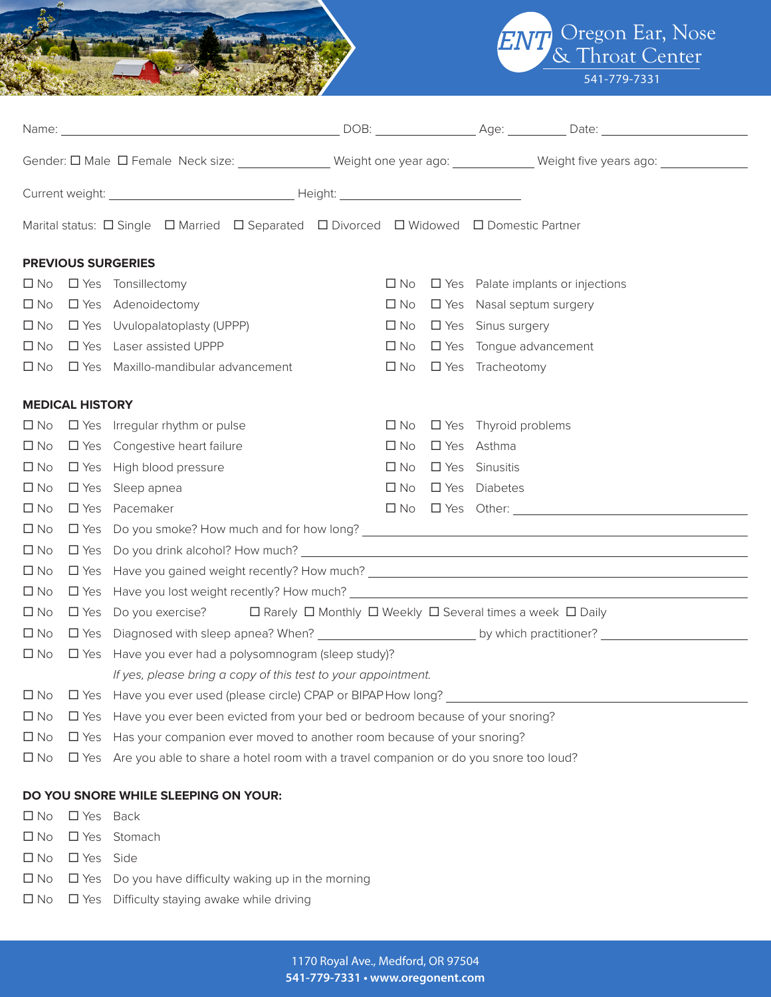

Oregon Ear, Nose & Throat Center 541-779-7331

|              |                        |                                                                                                                      |  |              |  | Gender: O Male O Female Neck size: ______________ Weight one year ago: ___________ Weight five years ago: __________                                                                                                                                                                                                                                                                                   |  |  |
|--------------|------------------------|----------------------------------------------------------------------------------------------------------------------|--|--------------|--|--------------------------------------------------------------------------------------------------------------------------------------------------------------------------------------------------------------------------------------------------------------------------------------------------------------------------------------------------------------------------------------------------------|--|--|
|              |                        |                                                                                                                      |  |              |  |                                                                                                                                                                                                                                                                                                                                                                                                        |  |  |
|              |                        | Marital status: $\Box$ Single $\Box$ Married $\Box$ Separated $\Box$ Divorced $\Box$ Widowed $\Box$ Domestic Partner |  |              |  |                                                                                                                                                                                                                                                                                                                                                                                                        |  |  |
|              |                        | <b>PREVIOUS SURGERIES</b>                                                                                            |  |              |  |                                                                                                                                                                                                                                                                                                                                                                                                        |  |  |
|              |                        | $\Box$ No $\Box$ Yes Tonsillectomy                                                                                   |  | $\square$ No |  | $\Box$ Yes Palate implants or injections                                                                                                                                                                                                                                                                                                                                                               |  |  |
| $\square$ No |                        | □ Yes Adenoidectomy                                                                                                  |  | $\square$ No |  | $\Box$ Yes Nasal septum surgery                                                                                                                                                                                                                                                                                                                                                                        |  |  |
| $\square$ No |                        | $\Box$ Yes Uvulopalatoplasty (UPPP)                                                                                  |  | $\square$ No |  | □ Yes Sinus surgery                                                                                                                                                                                                                                                                                                                                                                                    |  |  |
| $\square$ No |                        | □ Yes Laser assisted UPPP                                                                                            |  | $\square$ No |  | $\Box$ Yes Tongue advancement                                                                                                                                                                                                                                                                                                                                                                          |  |  |
| $\square$ No |                        | $\Box$ Yes Maxillo-mandibular advancement                                                                            |  | $\square$ No |  | □ Yes Tracheotomy                                                                                                                                                                                                                                                                                                                                                                                      |  |  |
|              | <b>MEDICAL HISTORY</b> |                                                                                                                      |  |              |  |                                                                                                                                                                                                                                                                                                                                                                                                        |  |  |
|              |                        | $\Box$ No $\Box$ Yes Irregular rhythm or pulse                                                                       |  |              |  | $\Box$ No $\Box$ Yes Thyroid problems                                                                                                                                                                                                                                                                                                                                                                  |  |  |
| $\square$ No |                        | $\Box$ Yes Congestive heart failure                                                                                  |  | $\square$ No |  | □ Yes Asthma                                                                                                                                                                                                                                                                                                                                                                                           |  |  |
| $\square$ No |                        | $\Box$ Yes High blood pressure                                                                                       |  | $\square$ No |  | □ Yes Sinusitis                                                                                                                                                                                                                                                                                                                                                                                        |  |  |
| $\square$ No |                        | $\Box$ Yes Sleep apnea                                                                                               |  | $\square$ No |  | □ Yes Diabetes                                                                                                                                                                                                                                                                                                                                                                                         |  |  |
| $\square$ No |                        | □ Yes Pacemaker                                                                                                      |  |              |  | $\begin{tabular}{lllllll} \quad \textbf{D No} & \textbf{D Yes} & \textbf{Other:} \ \textcolor{red}{\textbf{5.35} \textbf{N} & \textbf{1.35} \textbf{N} \\ \textbf{1.47} & \textbf{1.57} & \textbf{1.57} & \textbf{1.57} & \textbf{1.57} \\ \textbf{2.57} & \textbf{2.57} & \textbf{2.57} & \textbf{2.57} & \textbf{2.57} & \textbf{2.57} \\ \textbf{3.67} & \textbf{3.57} & \textbf{3.57} & \textbf{3$ |  |  |
| $\square$ No |                        |                                                                                                                      |  |              |  |                                                                                                                                                                                                                                                                                                                                                                                                        |  |  |
| $\square$ No |                        |                                                                                                                      |  |              |  |                                                                                                                                                                                                                                                                                                                                                                                                        |  |  |
| $\Box$ No    |                        |                                                                                                                      |  |              |  |                                                                                                                                                                                                                                                                                                                                                                                                        |  |  |
| $\Box$ No    |                        |                                                                                                                      |  |              |  |                                                                                                                                                                                                                                                                                                                                                                                                        |  |  |
| $\Box$ No    |                        | $\Box$ Yes Do you exercise? $\Box$ Rarely $\Box$ Monthly $\Box$ Weekly $\Box$ Several times a week $\Box$ Daily      |  |              |  |                                                                                                                                                                                                                                                                                                                                                                                                        |  |  |
| $\square$ No |                        |                                                                                                                      |  |              |  |                                                                                                                                                                                                                                                                                                                                                                                                        |  |  |
| $\square$ No |                        | $\Box$ Yes Have you ever had a polysomnogram (sleep study)?                                                          |  |              |  |                                                                                                                                                                                                                                                                                                                                                                                                        |  |  |
|              |                        | If yes, please bring a copy of this test to your appointment.                                                        |  |              |  |                                                                                                                                                                                                                                                                                                                                                                                                        |  |  |
| $\square$ No |                        | □ Yes Have you ever used (please circle) CPAP or BIPAP How long?                                                     |  |              |  |                                                                                                                                                                                                                                                                                                                                                                                                        |  |  |
| $\Box$ No    |                        | $\Box$ Yes Have you ever been evicted from your bed or bedroom because of your snoring?                              |  |              |  |                                                                                                                                                                                                                                                                                                                                                                                                        |  |  |
| $\square$ No | $\square$ Yes          | Has your companion ever moved to another room because of your snoring?                                               |  |              |  |                                                                                                                                                                                                                                                                                                                                                                                                        |  |  |
| $\square$ No |                        | □ Yes Are you able to share a hotel room with a travel companion or do you snore too loud?                           |  |              |  |                                                                                                                                                                                                                                                                                                                                                                                                        |  |  |
|              |                        | DO YOU SNORE WHILE SLEEPING ON YOUR:                                                                                 |  |              |  |                                                                                                                                                                                                                                                                                                                                                                                                        |  |  |
| $\square$ No | □ Yes Back             |                                                                                                                      |  |              |  |                                                                                                                                                                                                                                                                                                                                                                                                        |  |  |
| $\square$ No |                        | □ Yes Stomach                                                                                                        |  |              |  |                                                                                                                                                                                                                                                                                                                                                                                                        |  |  |
| $\square$ No | □ Yes Side             |                                                                                                                      |  |              |  |                                                                                                                                                                                                                                                                                                                                                                                                        |  |  |

- $\square$  No  $\square$  Yes Do you have difficulty waking up in the morning
- $\square$  No  $\square$  Yes Difficulty staying awake while driving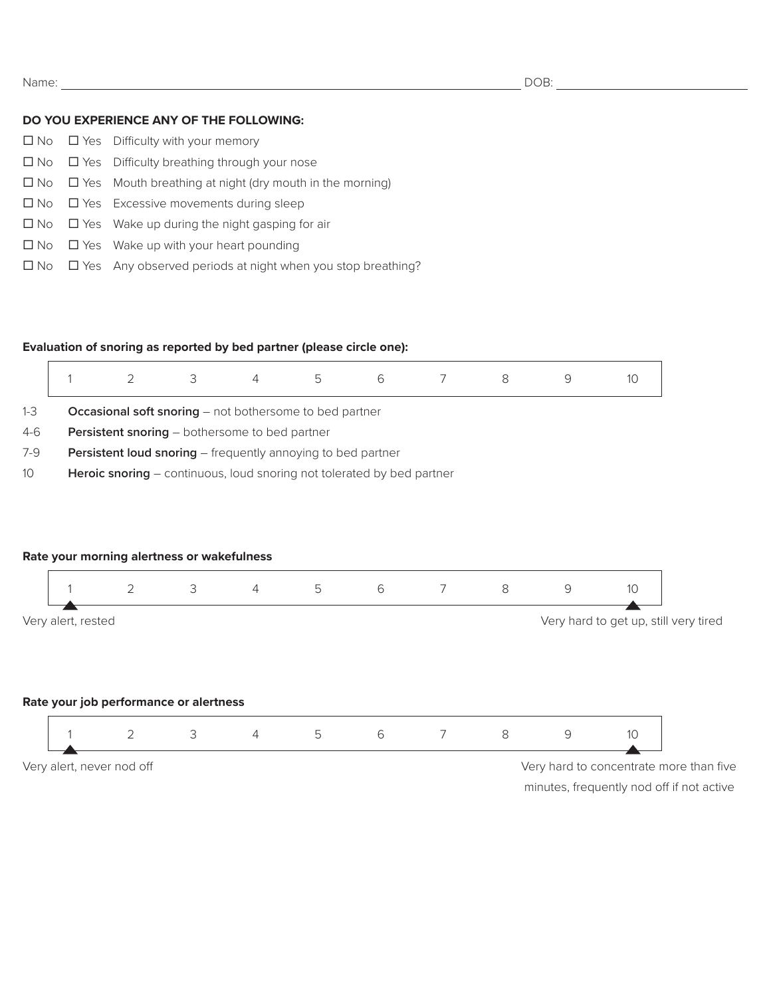#### **DO YOU EXPERIENCE ANY OF THE FOLLOWING:**

|  | $\Box$ No $\Box$ Yes Difficulty with your memory                            |
|--|-----------------------------------------------------------------------------|
|  | $\Box$ No $\Box$ Yes Difficulty breathing through your nose                 |
|  | $\Box$ No $\Box$ Yes Mouth breathing at night (dry mouth in the morning)    |
|  | $\Box$ No $\Box$ Yes Excessive movements during sleep                       |
|  | $\Box$ No $\Box$ Yes Wake up during the night gasping for air               |
|  | $\Box$ No $\Box$ Yes Wake up with your heart pounding                       |
|  | $\Box$ No $\Box$ Yes Any observed periods at night when you stop breathing? |

### **Evaluation of snoring as reported by bed partner (please circle one):**

|         |                                                                        |  |  |  | b | 6 |  |  |  |  |
|---------|------------------------------------------------------------------------|--|--|--|---|---|--|--|--|--|
| $1 - 3$ | <b>Occasional soft snoring</b> $-$ not bothersome to bed partner       |  |  |  |   |   |  |  |  |  |
| $4-6$   | <b>Persistent snoring</b> – bothersome to bed partner                  |  |  |  |   |   |  |  |  |  |
| $7-9$   | <b>Persistent loud snoring</b> – frequently annoying to bed partner    |  |  |  |   |   |  |  |  |  |
| 10      | Heroic snoring – continuous, loud snoring not tolerated by bed partner |  |  |  |   |   |  |  |  |  |

# **Rate your morning alertness or wakefulness** 1 2 3 4 5 6 7 8 9 10 Very alert, rested Very hard to get up, still very tired **Rate your job performance or alertness** 1 2 3 4 5 6 7 8 9 10 Very alert, never nod off Very hard to concentrate more than five

minutes, frequently nod off if not active